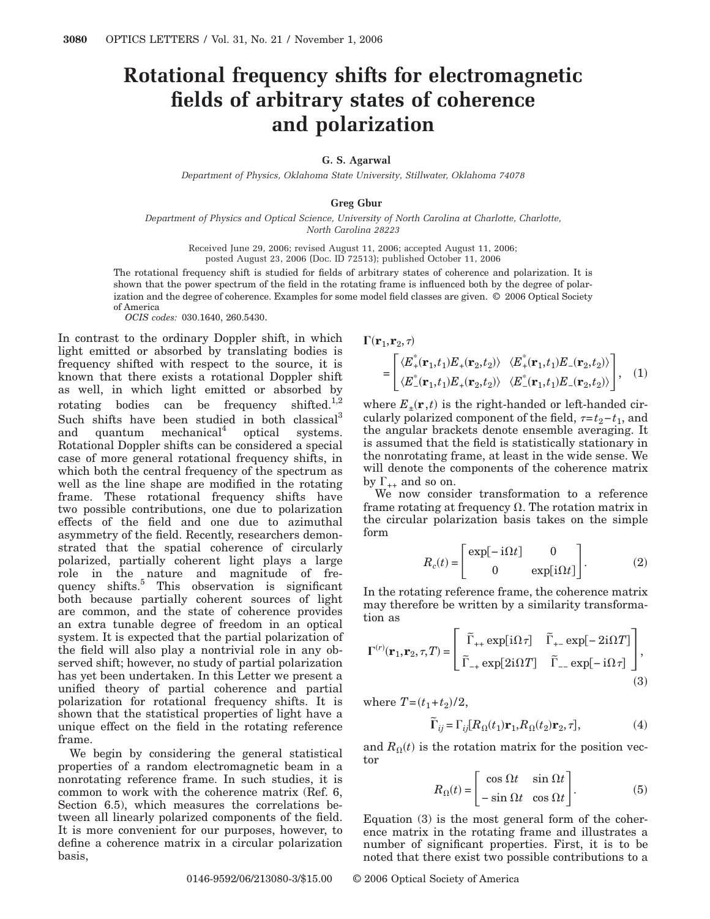## **Rotational frequency shifts for electromagnetic fields of arbitrary states of coherence and polarization**

## **G. S. Agarwal**

*Department of Physics, Oklahoma State University, Stillwater, Oklahoma 74078*

## **Greg Gbur**

*Department of Physics and Optical Science, University of North Carolina at Charlotte, Charlotte, North Carolina 28223*

> Received June 29, 2006; revised August 11, 2006; accepted August 11, 2006; posted August 23, 2006 (Doc. ID 72513); published October 11, 2006

The rotational frequency shift is studied for fields of arbitrary states of coherence and polarization. It is shown that the power spectrum of the field in the rotating frame is influenced both by the degree of polarization and the degree of coherence. Examples for some model field classes are given. © 2006 Optical Society of America *OCIS codes:* 030.1640, 260.5430.

In contrast to the ordinary Doppler shift, in which light emitted or absorbed by translating bodies is frequency shifted with respect to the source, it is known that there exists a rotational Doppler shift as well, in which light emitted or absorbed by rotating bodies can be frequency shifted.<sup>1,2</sup> Such shifts have been studied in both classical<sup>3</sup> and quantum mechanical<sup>4</sup> optical systems. Rotational Doppler shifts can be considered a special case of more general rotational frequency shifts, in which both the central frequency of the spectrum as well as the line shape are modified in the rotating frame. These rotational frequency shifts have two possible contributions, one due to polarization effects of the field and one due to azimuthal asymmetry of the field. Recently, researchers demonstrated that the spatial coherence of circularly polarized, partially coherent light plays a large role in the nature and magnitude of frequency shifts.<sup>5</sup> This observation is significant both because partially coherent sources of light are common, and the state of coherence provides an extra tunable degree of freedom in an optical system. It is expected that the partial polarization of the field will also play a nontrivial role in any observed shift; however, no study of partial polarization has yet been undertaken. In this Letter we present a unified theory of partial coherence and partial polarization for rotational frequency shifts. It is shown that the statistical properties of light have a unique effect on the field in the rotating reference frame.

We begin by considering the general statistical properties of a random electromagnetic beam in a nonrotating reference frame. In such studies, it is common to work with the coherence matrix (Ref. 6, Section 6.5), which measures the correlations between all linearly polarized components of the field. It is more convenient for our purposes, however, to define a coherence matrix in a circular polarization basis,

$$
\Gamma(\mathbf{r}_1, \mathbf{r}_2, \tau)
$$
\n
$$
= \begin{bmatrix}\n\langle E_+^*(\mathbf{r}_1, t_1) E_+(\mathbf{r}_2, t_2) \rangle & \langle E_+^*(\mathbf{r}_1, t_1) E_-(\mathbf{r}_2, t_2) \rangle \\
\langle E_-^*(\mathbf{r}_1, t_1) E_+(\mathbf{r}_2, t_2) \rangle & \langle E_-^*(\mathbf{r}_1, t_1) E_-(\mathbf{r}_2, t_2) \rangle\n\end{bmatrix},
$$
\n(1)

where  $E_{\pm}(\mathbf{r},t)$  is the right-handed or left-handed circularly polarized component of the field,  $\tau=t_2-t_1$ , and the angular brackets denote ensemble averaging. It is assumed that the field is statistically stationary in the nonrotating frame, at least in the wide sense. We will denote the components of the coherence matrix by  $\Gamma_{++}$  and so on.

We now consider transformation to a reference frame rotating at frequency  $\Omega$ . The rotation matrix in the circular polarization basis takes on the simple form

$$
R_c(t) = \begin{bmatrix} \exp[-i\Omega t] & 0\\ 0 & \exp[i\Omega t] \end{bmatrix}.
$$
 (2)

 $(1)$ 

In the rotating reference frame, the coherence matrix may therefore be written by a similarity transformation as

$$
\Gamma^{(r)}(\mathbf{r}_1, \mathbf{r}_2, \tau, T) = \begin{bmatrix} \widetilde{\Gamma}_{++} \exp[i\Omega\tau] & \widetilde{\Gamma}_{+-} \exp[-2i\Omega T] \\ \widetilde{\Gamma}_{-+} \exp[2i\Omega T] & \widetilde{\Gamma}_{--} \exp[-i\Omega\tau] \end{bmatrix},
$$
\n(3)

where  $T = (t_1 + t_2)/2$ ,

$$
\widetilde{\Gamma}_{ij} = \Gamma_{ij} [R_{\Omega}(t_1) \mathbf{r}_1, R_{\Omega}(t_2) \mathbf{r}_2, \tau],
$$
\n(4)

and  $R_{\Omega}(t)$  is the rotation matrix for the position vector

$$
R_{\Omega}(t) = \begin{bmatrix} \cos \Omega t & \sin \Omega t \\ -\sin \Omega t & \cos \Omega t \end{bmatrix}.
$$
 (5)

Equation (3) is the most general form of the coherence matrix in the rotating frame and illustrates a number of significant properties. First, it is to be noted that there exist two possible contributions to a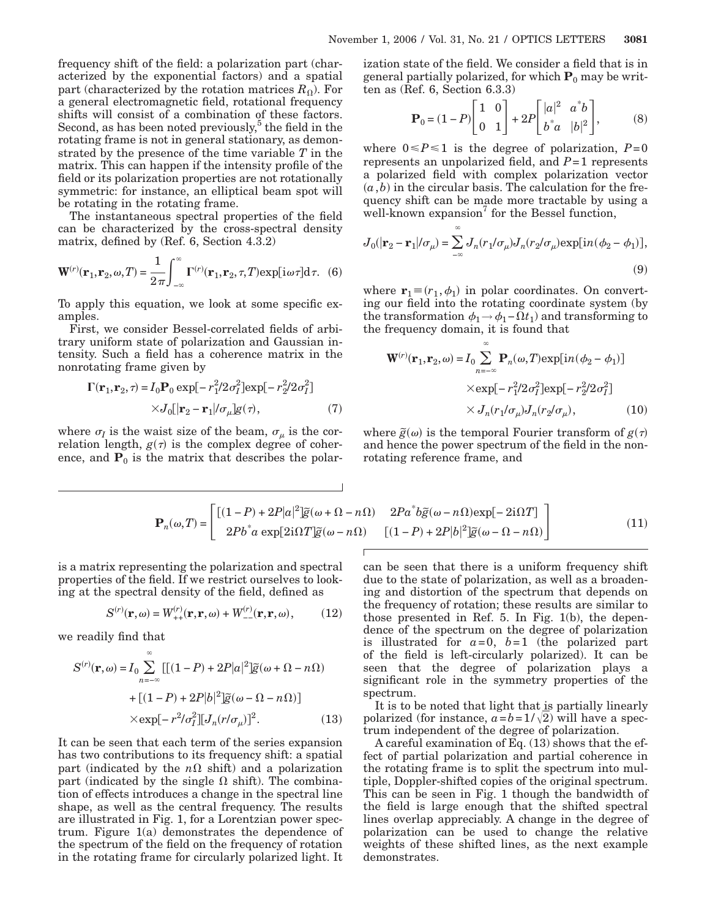frequency shift of the field: a polarization part (characterized by the exponential factors) and a spatial part (characterized by the rotation matrices  $R_{\Omega}$ ). For a general electromagnetic field, rotational frequency shifts will consist of a combination of these factors. Second, as has been noted previously, $5$  the field in the rotating frame is not in general stationary, as demonstrated by the presence of the time variable *T* in the matrix. This can happen if the intensity profile of the field or its polarization properties are not rotationally symmetric: for instance, an elliptical beam spot will be rotating in the rotating frame.

The instantaneous spectral properties of the field can be characterized by the cross-spectral density matrix, defined by (Ref. 6, Section 4.3.2)

$$
\mathbf{W}^{(r)}(\mathbf{r}_1, \mathbf{r}_2, \omega, T) = \frac{1}{2\pi} \int_{-\infty}^{\infty} \Gamma^{(r)}(\mathbf{r}_1, \mathbf{r}_2, \tau, T) \exp[i\omega \tau] d\tau. \tag{6}
$$

To apply this equation, we look at some specific examples.

First, we consider Bessel-correlated fields of arbitrary uniform state of polarization and Gaussian intensity. Such a field has a coherence matrix in the nonrotating frame given by

$$
\Gamma(\mathbf{r}_1, \mathbf{r}_2, \tau) = I_0 \mathbf{P}_0 \exp[-r_1^2/2\sigma_I^2] \exp[-r_2^2/2\sigma_I^2]
$$

$$
\times J_0[|\mathbf{r}_2 - \mathbf{r}_1|/\sigma_\mu]g(\tau), \tag{7}
$$

where  $\sigma_I$  is the waist size of the beam,  $\sigma_\mu$  is the correlation length,  $g(\tau)$  is the complex degree of coherence, and  $P_0$  is the matrix that describes the polarization state of the field. We consider a field that is in general partially polarized, for which  $P_0$  may be written as (Ref. 6, Section 6.3.3)

$$
\mathbf{P}_0 = (1 - P) \begin{bmatrix} 1 & 0 \\ 0 & 1 \end{bmatrix} + 2P \begin{bmatrix} |a|^2 & a^*b \\ b^*a & |b|^2 \end{bmatrix},
$$
 (8)

where  $0 \le P \le 1$  is the degree of polarization,  $P=0$ represents an unpolarized field, and *P*=1 represents a polarized field with complex polarization vector  $(a, b)$  in the circular basis. The calculation for the frequency shift can be made more tractable by using a well-known expansion $\alpha$  for the Bessel function,

$$
J_0(|\mathbf{r}_2 - \mathbf{r}_1|/\sigma_\mu) = \sum_{-\infty} J_n(r_1/\sigma_\mu) J_n(r_2/\sigma_\mu) \exp[i n (\phi_2 - \phi_1)],
$$
\n(9)

 $\infty$ 

where  $\mathbf{r}_1 \equiv (r_1, \phi_1)$  in polar coordinates. On converting our field into the rotating coordinate system (by the transformation  $\phi_1 \rightarrow \phi_1 - \Omega t_1$ ) and transforming to the frequency domain, it is found that

$$
\mathbf{W}^{(r)}(\mathbf{r}_1, \mathbf{r}_2, \omega) = I_0 \sum_{n=-\infty}^{\infty} \mathbf{P}_n(\omega, T) \exp[i n (\phi_2 - \phi_1)]
$$
  
× $\exp[-r_1^2/2\sigma_1^2] \exp[-r_2^2/2\sigma_1^2]$   
× $J_n(r_1/\sigma_\mu) J_n(r_2/\sigma_\mu)$ , (10)

where  $\tilde{g}(\omega)$  is the temporal Fourier transform of  $g(\tau)$ and hence the power spectrum of the field in the nonrotating reference frame, and

$$
\mathbf{P}_n(\omega, T) = \begin{bmatrix} [(1 - P) + 2P|\alpha|^2] \tilde{g}(\omega + \Omega - n\Omega) & 2Pa^*b\tilde{g}(\omega - n\Omega)\exp[-2\mathrm{i}\Omega T] \\ 2Pb^*a\exp[2\mathrm{i}\Omega T] \tilde{g}(\omega - n\Omega) & [(1 - P) + 2P|b|^2] \tilde{g}(\omega - \Omega - n\Omega) \end{bmatrix}
$$
(11)

is a matrix representing the polarization and spectral properties of the field. If we restrict ourselves to looking at the spectral density of the field, defined as

$$
S^{(r)}(\mathbf{r},\omega) = W_{++}^{(r)}(\mathbf{r},\mathbf{r},\omega) + W_{--}^{(r)}(\mathbf{r},\mathbf{r},\omega), \quad (12)
$$

we readily find that

$$
S^{(r)}(\mathbf{r}, \omega) = I_0 \sum_{n=-\infty}^{\infty} [[(1 - P) + 2P|\alpha|^2] \tilde{g}(\omega + \Omega - n\Omega)
$$

$$
+ [(1 - P) + 2P|\delta|^2] \tilde{g}(\omega - \Omega - n\Omega)]
$$

$$
\times \exp[-r^2/\sigma_I^2] [J_n(r/\sigma_\mu)]^2. \tag{13}
$$

It can be seen that each term of the series expansion has two contributions to its frequency shift: a spatial part (indicated by the  $n\Omega$  shift) and a polarization part (indicated by the single  $\Omega$  shift). The combination of effects introduces a change in the spectral line shape, as well as the central frequency. The results are illustrated in Fig. 1, for a Lorentzian power spectrum. Figure 1(a) demonstrates the dependence of the spectrum of the field on the frequency of rotation in the rotating frame for circularly polarized light. It

can be seen that there is a uniform frequency shift due to the state of polarization, as well as a broadening and distortion of the spectrum that depends on the frequency of rotation; these results are similar to those presented in Ref. 5. In Fig. 1(b), the dependence of the spectrum on the degree of polarization is illustrated for  $a=0$ ,  $b=1$  (the polarized part of the field is left-circularly polarized). It can be seen that the degree of polarization plays a significant role in the symmetry properties of the spectrum.

It is to be noted that light that is partially linearly polarized (for instance,  $a = b = 1/\sqrt{2}$ ) will have a spectrum independent of the degree of polarization.

A careful examination of Eq. (13) shows that the effect of partial polarization and partial coherence in the rotating frame is to split the spectrum into multiple, Doppler-shifted copies of the original spectrum. This can be seen in Fig. 1 though the bandwidth of the field is large enough that the shifted spectral lines overlap appreciably. A change in the degree of polarization can be used to change the relative weights of these shifted lines, as the next example demonstrates.